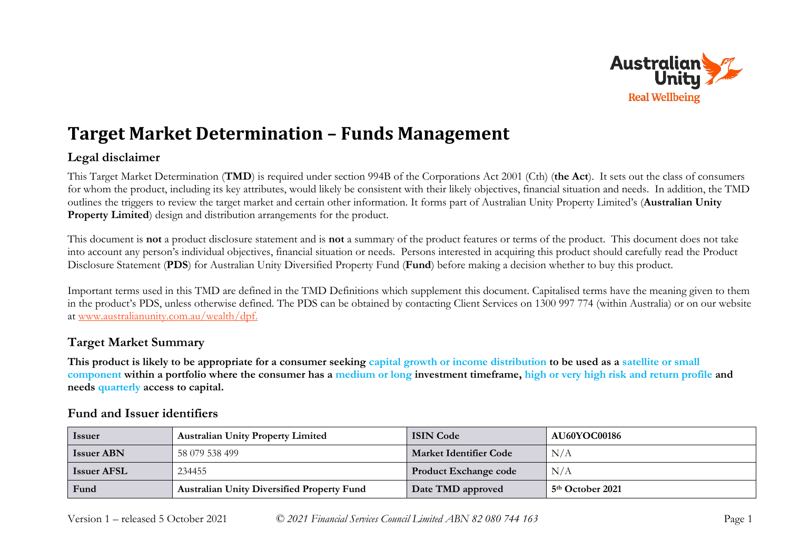

# **Target Market Determination – Funds Management**

## **Legal disclaimer**

This Target Market Determination (**TMD**) is required under section 994B of the Corporations Act 2001 (Cth) (**the Act**). It sets out the class of consumers for whom the product, including its key attributes, would likely be consistent with their likely objectives, financial situation and needs. In addition, the TMD outlines the triggers to review the target market and certain other information. It forms part of Australian Unity Property Limited's (**Australian Unity Property Limited**) design and distribution arrangements for the product.

This document is **not** a product disclosure statement and is **not** a summary of the product features or terms of the product. This document does not take into account any person's individual objectives, financial situation or needs. Persons interested in acquiring this product should carefully read the Product Disclosure Statement (**PDS**) for Australian Unity Diversified Property Fund (**Fund**) before making a decision whether to buy this product.

Important terms used in this TMD are defined in the TMD Definitions which supplement this document. Capitalised terms have the meaning given to them in the product's PDS, unless otherwise defined. The PDS can be obtained by contacting Client Services on 1300 997 774 (within Australia) or on our website at [www.australianunity.com.au/wealth/dpf.](http://www.australianunity.com.au/wealth/dpf)

## **Target Market Summary**

**This product is likely to be appropriate for a consumer seeking capital growth or income distribution to be used as a satellite or small component within a portfolio where the consumer has a medium or long investment timeframe, high or very high risk and return profile and needs quarterly access to capital.**

| <b>Issuer</b>      | <b>Australian Unity Property Limited</b>          | <b>ISIN Code</b>              | <b>AU60YOC00186</b> |
|--------------------|---------------------------------------------------|-------------------------------|---------------------|
| <b>Issuer ABN</b>  | 58 079 538 499                                    | <b>Market Identifier Code</b> | N/A                 |
| <b>Issuer AFSL</b> | 234455                                            | <b>Product Exchange code</b>  | N/A                 |
| Fund               | <b>Australian Unity Diversified Property Fund</b> | Date TMD approved             | 5th October 2021    |

## **Fund and Issuer identifiers**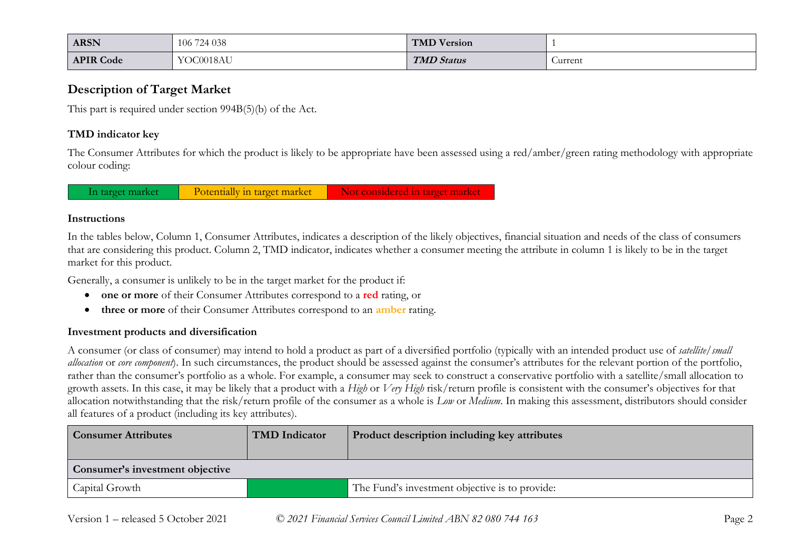| <b>ARSN</b>      | 106 724 038 | <b>TMD Version</b> |         |
|------------------|-------------|--------------------|---------|
| <b>APIR Code</b> | YOC0018AU   | <b>TMD Status</b>  | Current |

## **Description of Target Market**

This part is required under section 994B(5)(b) of the Act.

### **TMD indicator key**

The Consumer Attributes for which the product is likely to be appropriate have been assessed using a red/amber/green rating methodology with appropriate colour coding:

In target market Potentially in target market Not considered in target market

#### **Instructions**

In the tables below, Column 1, Consumer Attributes, indicates a description of the likely objectives, financial situation and needs of the class of consumers that are considering this product. Column 2, TMD indicator, indicates whether a consumer meeting the attribute in column 1 is likely to be in the target market for this product.

Generally, a consumer is unlikely to be in the target market for the product if:

- **one or more** of their Consumer Attributes correspond to a **red** rating, or
- **three or more** of their Consumer Attributes correspond to an **amber** rating.

### **Investment products and diversification**

A consumer (or class of consumer) may intend to hold a product as part of a diversified portfolio (typically with an intended product use of *satellite/small allocation* or *core component*). In such circumstances, the product should be assessed against the consumer's attributes for the relevant portion of the portfolio, rather than the consumer's portfolio as a whole. For example, a consumer may seek to construct a conservative portfolio with a satellite/small allocation to growth assets. In this case, it may be likely that a product with a *High* or *Very High* risk/return profile is consistent with the consumer's objectives for that allocation notwithstanding that the risk/return profile of the consumer as a whole is *Low* or *Medium*. In making this assessment, distributors should consider all features of a product (including its key attributes).

| <b>Consumer Attributes</b>      | TMD Indicator | Product description including key attributes   |
|---------------------------------|---------------|------------------------------------------------|
| Consumer's investment objective |               |                                                |
| Capital Growth                  |               | The Fund's investment objective is to provide: |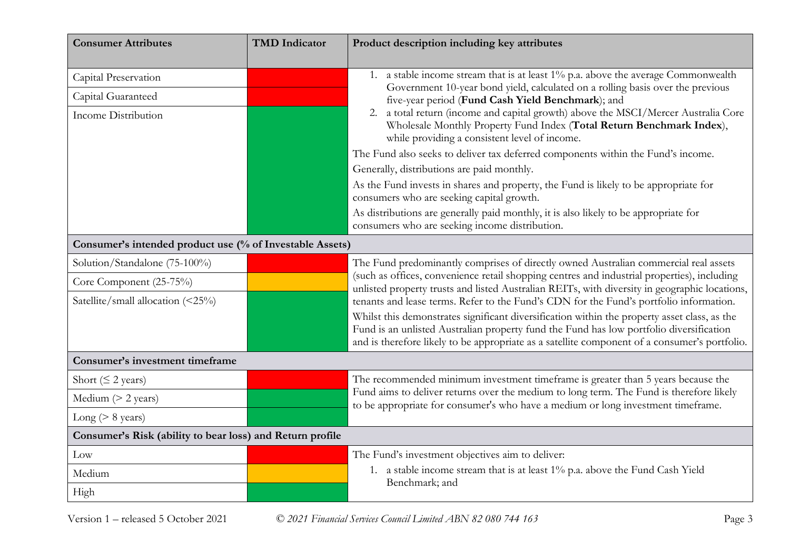| <b>Consumer Attributes</b>                                | <b>TMD</b> Indicator | Product description including key attributes                                                                                                                                                                                                                                             |
|-----------------------------------------------------------|----------------------|------------------------------------------------------------------------------------------------------------------------------------------------------------------------------------------------------------------------------------------------------------------------------------------|
| Capital Preservation                                      |                      | 1. a stable income stream that is at least 1% p.a. above the average Commonwealth<br>Government 10-year bond yield, calculated on a rolling basis over the previous                                                                                                                      |
| Capital Guaranteed                                        |                      | five-year period (Fund Cash Yield Benchmark); and                                                                                                                                                                                                                                        |
| <b>Income Distribution</b>                                |                      | a total return (income and capital growth) above the MSCI/Mercer Australia Core<br>2.<br>Wholesale Monthly Property Fund Index (Total Return Benchmark Index),<br>while providing a consistent level of income.                                                                          |
|                                                           |                      | The Fund also seeks to deliver tax deferred components within the Fund's income.                                                                                                                                                                                                         |
|                                                           |                      | Generally, distributions are paid monthly.                                                                                                                                                                                                                                               |
|                                                           |                      | As the Fund invests in shares and property, the Fund is likely to be appropriate for<br>consumers who are seeking capital growth.                                                                                                                                                        |
|                                                           |                      | As distributions are generally paid monthly, it is also likely to be appropriate for<br>consumers who are seeking income distribution.                                                                                                                                                   |
| Consumer's intended product use (% of Investable Assets)  |                      |                                                                                                                                                                                                                                                                                          |
| Solution/Standalone (75-100%)                             |                      | The Fund predominantly comprises of directly owned Australian commercial real assets                                                                                                                                                                                                     |
| Core Component (25-75%)                                   |                      | (such as offices, convenience retail shopping centres and industrial properties), including<br>unlisted property trusts and listed Australian REITs, with diversity in geographic locations,                                                                                             |
| Satellite/small allocation (<25%)                         |                      | tenants and lease terms. Refer to the Fund's CDN for the Fund's portfolio information.                                                                                                                                                                                                   |
|                                                           |                      | Whilst this demonstrates significant diversification within the property asset class, as the<br>Fund is an unlisted Australian property fund the Fund has low portfolio diversification<br>and is therefore likely to be appropriate as a satellite component of a consumer's portfolio. |
| Consumer's investment timeframe                           |                      |                                                                                                                                                                                                                                                                                          |
| Short ( $\leq$ 2 years)                                   |                      | The recommended minimum investment timeframe is greater than 5 years because the                                                                                                                                                                                                         |
| Medium $(> 2$ years)                                      |                      | Fund aims to deliver returns over the medium to long term. The Fund is therefore likely<br>to be appropriate for consumer's who have a medium or long investment timeframe.                                                                                                              |
| Long ( $> 8$ years)                                       |                      |                                                                                                                                                                                                                                                                                          |
| Consumer's Risk (ability to bear loss) and Return profile |                      |                                                                                                                                                                                                                                                                                          |
| Low                                                       |                      | The Fund's investment objectives aim to deliver:                                                                                                                                                                                                                                         |
| Medium                                                    |                      | 1. a stable income stream that is at least 1% p.a. above the Fund Cash Yield                                                                                                                                                                                                             |
| High                                                      |                      | Benchmark; and                                                                                                                                                                                                                                                                           |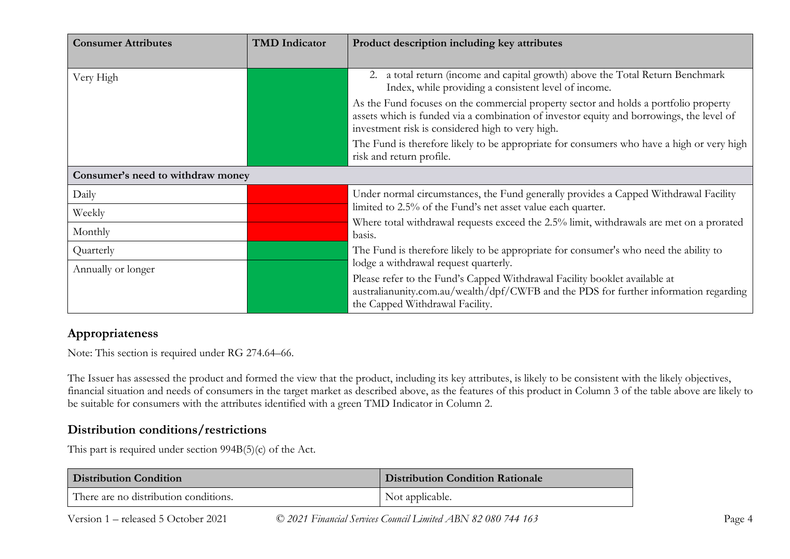| <b>Consumer Attributes</b>        | <b>TMD</b> Indicator | Product description including key attributes                                                                                                                                                                                         |
|-----------------------------------|----------------------|--------------------------------------------------------------------------------------------------------------------------------------------------------------------------------------------------------------------------------------|
| Very High                         |                      | a total return (income and capital growth) above the Total Return Benchmark<br>2.<br>Index, while providing a consistent level of income.                                                                                            |
|                                   |                      | As the Fund focuses on the commercial property sector and holds a portfolio property<br>assets which is funded via a combination of investor equity and borrowings, the level of<br>investment risk is considered high to very high. |
|                                   |                      | The Fund is therefore likely to be appropriate for consumers who have a high or very high<br>risk and return profile.                                                                                                                |
| Consumer's need to withdraw money |                      |                                                                                                                                                                                                                                      |
| Daily                             |                      | Under normal circumstances, the Fund generally provides a Capped Withdrawal Facility<br>limited to 2.5% of the Fund's net asset value each quarter.                                                                                  |
| Weekly                            |                      | Where total withdrawal requests exceed the 2.5% limit, withdrawals are met on a prorated                                                                                                                                             |
| Monthly                           |                      | basis.                                                                                                                                                                                                                               |
| Quarterly                         |                      | The Fund is therefore likely to be appropriate for consumer's who need the ability to                                                                                                                                                |
| Annually or longer                |                      | lodge a withdrawal request quarterly.                                                                                                                                                                                                |
|                                   |                      | Please refer to the Fund's Capped Withdrawal Facility booklet available at<br>australianunity.com.au/wealth/dpf/CWFB and the PDS for further information regarding<br>the Capped Withdrawal Facility.                                |

## **Appropriateness**

Note: This section is required under RG 274.64–66.

The Issuer has assessed the product and formed the view that the product, including its key attributes, is likely to be consistent with the likely objectives, financial situation and needs of consumers in the target market as described above, as the features of this product in Column 3 of the table above are likely to be suitable for consumers with the attributes identified with a green TMD Indicator in Column 2.

## **Distribution conditions/restrictions**

This part is required under section 994B(5)(c) of the Act.

| <b>Distribution Condition</b>         | <b>Distribution Condition Rationale</b> |  |
|---------------------------------------|-----------------------------------------|--|
| There are no distribution conditions. | Not applicable.                         |  |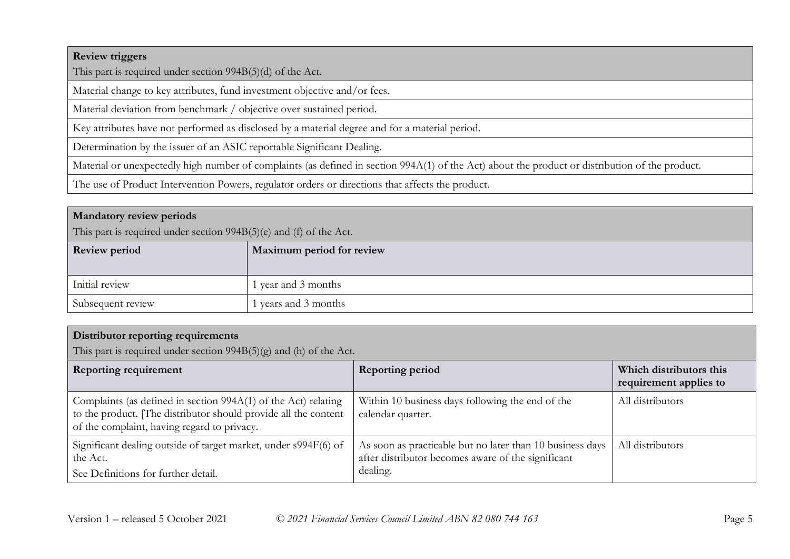#### **Review triggers**

This part is required under section 994B(5)(d) of the Act.

Material change to key attributes, fund investment objective and/or fees.

Material deviation from benchmark / objective over sustained period.

Key attributes have not performed as disclosed by a material degree and for a material period.

Determination by the issuer of an ASIC reportable Significant Dealing.

Material or unexpectedly high number of complaints (as defined in section 994A(1) of the Act) about the product or distribution of the product.

The use of Product Intervention Powers, regulator orders or directions that affects the product.

#### **Mandatory review periods**

This part is required under section 994B(5)(e) and (f) of the Act.

| <b>Review period</b> | Maximum period for review |
|----------------------|---------------------------|
| Initial review       | l year and 3 months       |
| Subsequent review    | l years and 3 months      |

## **Distributor reporting requirements**

This part is required under section  $994B(5)(g)$  and (h) of the Act.

| <b>Reporting requirement</b>                                                                                                                                                     | <b>Reporting period</b>                                                                                                     | Which distributors this<br>requirement applies to |
|----------------------------------------------------------------------------------------------------------------------------------------------------------------------------------|-----------------------------------------------------------------------------------------------------------------------------|---------------------------------------------------|
| Complaints (as defined in section 994A(1) of the Act) relating<br>to the product. [The distributor should provide all the content<br>of the complaint, having regard to privacy. | Within 10 business days following the end of the<br>calendar quarter.                                                       | All distributors                                  |
| Significant dealing outside of target market, under s994F(6) of<br>the Act.<br>See Definitions for further detail.                                                               | As soon as practicable but no later than 10 business days<br>after distributor becomes aware of the significant<br>dealing. | All distributors                                  |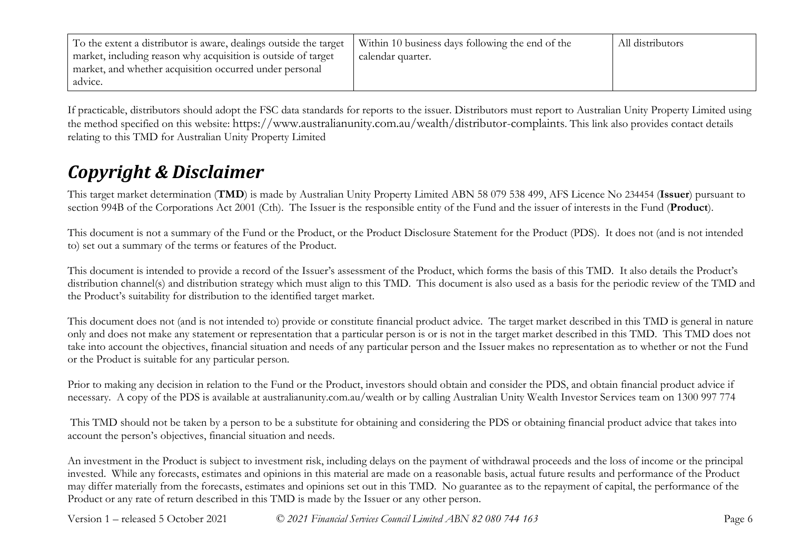| To the extent a distributor is aware, dealings outside the target | Within 10 business days following the end of the | All distributors |
|-------------------------------------------------------------------|--------------------------------------------------|------------------|
| market, including reason why acquisition is outside of target     | calendar quarter.                                |                  |
| market, and whether acquisition occurred under personal           |                                                  |                  |
| advice.                                                           |                                                  |                  |

If practicable, distributors should adopt the FSC data standards for reports to the issuer. Distributors must report to Australian Unity Property Limited using the method specified on this website: https://www.australianunity.com.au/wealth/distributor-complaints. This link also provides contact details relating to this TMD for Australian Unity Property Limited

# *Copyright & Disclaimer*

This target market determination (**TMD**) is made by Australian Unity Property Limited ABN 58 079 538 499, AFS Licence No 234454 (**Issuer**) pursuant to section 994B of the Corporations Act 2001 (Cth). The Issuer is the responsible entity of the Fund and the issuer of interests in the Fund (**Product**).

This document is not a summary of the Fund or the Product, or the Product Disclosure Statement for the Product (PDS). It does not (and is not intended to) set out a summary of the terms or features of the Product.

This document is intended to provide a record of the Issuer's assessment of the Product, which forms the basis of this TMD. It also details the Product's distribution channel(s) and distribution strategy which must align to this TMD. This document is also used as a basis for the periodic review of the TMD and the Product's suitability for distribution to the identified target market.

This document does not (and is not intended to) provide or constitute financial product advice. The target market described in this TMD is general in nature only and does not make any statement or representation that a particular person is or is not in the target market described in this TMD. This TMD does not take into account the objectives, financial situation and needs of any particular person and the Issuer makes no representation as to whether or not the Fund or the Product is suitable for any particular person.

Prior to making any decision in relation to the Fund or the Product, investors should obtain and consider the PDS, and obtain financial product advice if necessary. A copy of the PDS is available at australianunity.com.au/wealth or by calling Australian Unity Wealth Investor Services team on 1300 997 774

This TMD should not be taken by a person to be a substitute for obtaining and considering the PDS or obtaining financial product advice that takes into account the person's objectives, financial situation and needs.

An investment in the Product is subject to investment risk, including delays on the payment of withdrawal proceeds and the loss of income or the principal invested. While any forecasts, estimates and opinions in this material are made on a reasonable basis, actual future results and performance of the Product may differ materially from the forecasts, estimates and opinions set out in this TMD. No guarantee as to the repayment of capital, the performance of the Product or any rate of return described in this TMD is made by the Issuer or any other person.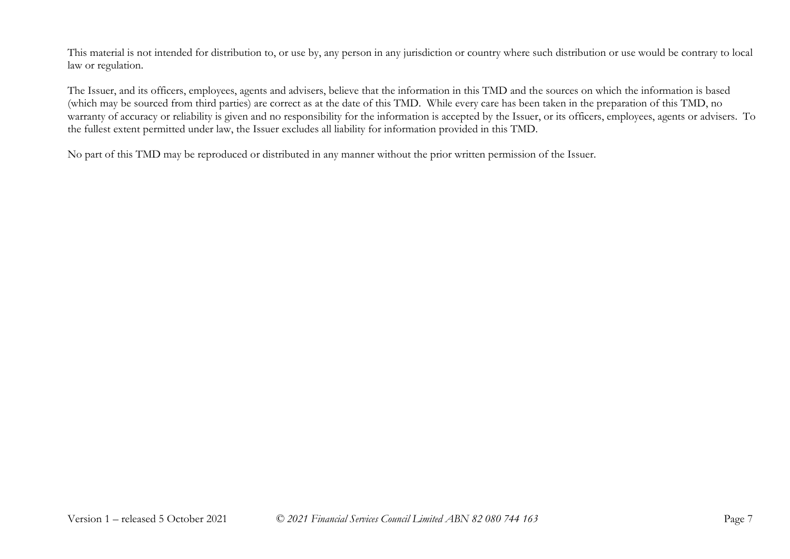This material is not intended for distribution to, or use by, any person in any jurisdiction or country where such distribution or use would be contrary to local law or regulation.

The Issuer, and its officers, employees, agents and advisers, believe that the information in this TMD and the sources on which the information is based (which may be sourced from third parties) are correct as at the date of this TMD. While every care has been taken in the preparation of this TMD, no warranty of accuracy or reliability is given and no responsibility for the information is accepted by the Issuer, or its officers, employees, agents or advisers. To the fullest extent permitted under law, the Issuer excludes all liability for information provided in this TMD.

No part of this TMD may be reproduced or distributed in any manner without the prior written permission of the Issuer.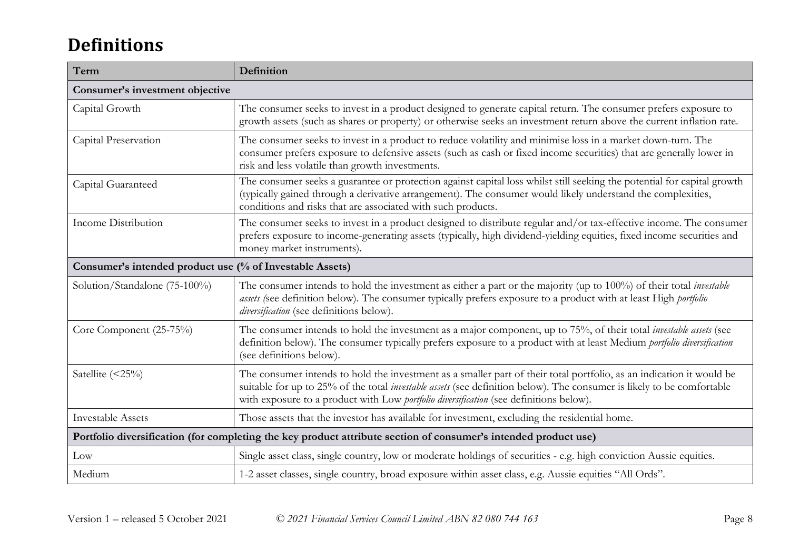# **Definitions**

| Term                                                                                                            | Definition                                                                                                                                                                                                                                                                                                                                      |  |
|-----------------------------------------------------------------------------------------------------------------|-------------------------------------------------------------------------------------------------------------------------------------------------------------------------------------------------------------------------------------------------------------------------------------------------------------------------------------------------|--|
| Consumer's investment objective                                                                                 |                                                                                                                                                                                                                                                                                                                                                 |  |
| Capital Growth                                                                                                  | The consumer seeks to invest in a product designed to generate capital return. The consumer prefers exposure to<br>growth assets (such as shares or property) or otherwise seeks an investment return above the current inflation rate.                                                                                                         |  |
| Capital Preservation                                                                                            | The consumer seeks to invest in a product to reduce volatility and minimise loss in a market down-turn. The<br>consumer prefers exposure to defensive assets (such as cash or fixed income securities) that are generally lower in<br>risk and less volatile than growth investments.                                                           |  |
| Capital Guaranteed                                                                                              | The consumer seeks a guarantee or protection against capital loss whilst still seeking the potential for capital growth<br>(typically gained through a derivative arrangement). The consumer would likely understand the complexities,<br>conditions and risks that are associated with such products.                                          |  |
| Income Distribution                                                                                             | The consumer seeks to invest in a product designed to distribute regular and/or tax-effective income. The consumer<br>prefers exposure to income-generating assets (typically, high dividend-yielding equities, fixed income securities and<br>money market instruments).                                                                       |  |
| Consumer's intended product use (% of Investable Assets)                                                        |                                                                                                                                                                                                                                                                                                                                                 |  |
| Solution/Standalone (75-100%)                                                                                   | The consumer intends to hold the investment as either a part or the majority (up to 100%) of their total investable<br>assets (see definition below). The consumer typically prefers exposure to a product with at least High portfolio<br>diversification (see definitions below).                                                             |  |
| Core Component (25-75%)                                                                                         | The consumer intends to hold the investment as a major component, up to 75%, of their total <i>investable assets</i> (see<br>definition below). The consumer typically prefers exposure to a product with at least Medium portfolio diversification<br>(see definitions below).                                                                 |  |
| Satellite (<25%)                                                                                                | The consumer intends to hold the investment as a smaller part of their total portfolio, as an indication it would be<br>suitable for up to 25% of the total <i>investable assets</i> (see definition below). The consumer is likely to be comfortable<br>with exposure to a product with Low portfolio diversification (see definitions below). |  |
| <b>Investable Assets</b>                                                                                        | Those assets that the investor has available for investment, excluding the residential home.                                                                                                                                                                                                                                                    |  |
| Portfolio diversification (for completing the key product attribute section of consumer's intended product use) |                                                                                                                                                                                                                                                                                                                                                 |  |
| Low                                                                                                             | Single asset class, single country, low or moderate holdings of securities - e.g. high conviction Aussie equities.                                                                                                                                                                                                                              |  |
| Medium                                                                                                          | 1-2 asset classes, single country, broad exposure within asset class, e.g. Aussie equities "All Ords".                                                                                                                                                                                                                                          |  |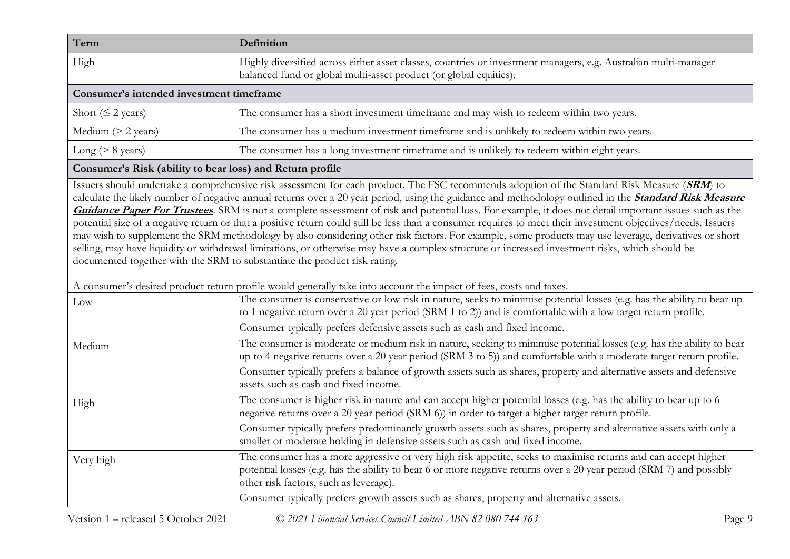| Term                                     | Definition                                                                                                                                                                           |
|------------------------------------------|--------------------------------------------------------------------------------------------------------------------------------------------------------------------------------------|
| High                                     | Highly diversified across either asset classes, countries or investment managers, e.g. Australian multi-manager<br>balanced fund or global multi-asset product (or global equities). |
| Consumer's intended investment timeframe |                                                                                                                                                                                      |
| Short ( $\leq$ 2 years)                  | The consumer has a short investment timeframe and may wish to redeem within two years.                                                                                               |
| Medium $(> 2$ years)                     | The consumer has a medium investment timeframe and is unlikely to redeem within two years.                                                                                           |
| Long ( $> 8$ years)                      | The consumer has a long investment timeframe and is unlikely to redeem within eight years.                                                                                           |

## **Consumer's Risk (ability to bear loss) and Return profile**

Issuers should undertake a comprehensive risk assessment for each product. The FSC recommends adoption of the Standard Risk Measure (**SRM**) to calculate the likely number of negative annual returns over a 20 year period, using the guidance and methodology outlined in the **[Standard Risk Measure](https://protect-eu.mimecast.com/s/pqPaCwVNmtGRQpvMFVpVgu?domain=urldefense.com)  [Guidance Paper For Trustees](https://protect-eu.mimecast.com/s/pqPaCwVNmtGRQpvMFVpVgu?domain=urldefense.com)**. SRM is not a complete assessment of risk and potential loss. For example, it does not detail important issues such as the potential size of a negative return or that a positive return could still be less than a consumer requires to meet their investment objectives/needs. Issuers may wish to supplement the SRM methodology by also considering other risk factors. For example, some products may use leverage, derivatives or short selling, may have liquidity or withdrawal limitations, or otherwise may have a complex structure or increased investment risks, which should be documented together with the SRM to substantiate the product risk rating.

A consumer's desired product return profile would generally take into account the impact of fees, costs and taxes.

| Low       | <u>rome woma generally allie mic account the impact of recog coold and allie</u><br>The consumer is conservative or low risk in nature, seeks to minimise potential losses (e.g. has the ability to bear up<br>to 1 negative return over a 20 year period (SRM 1 to 2)) and is comfortable with a low target return profile.<br>Consumer typically prefers defensive assets such as cash and fixed income.                       |
|-----------|----------------------------------------------------------------------------------------------------------------------------------------------------------------------------------------------------------------------------------------------------------------------------------------------------------------------------------------------------------------------------------------------------------------------------------|
| Medium    | The consumer is moderate or medium risk in nature, seeking to minimise potential losses (e.g. has the ability to bear<br>up to 4 negative returns over a 20 year period (SRM 3 to 5)) and comfortable with a moderate target return profile.<br>Consumer typically prefers a balance of growth assets such as shares, property and alternative assets and defensive<br>assets such as cash and fixed income.                     |
| High      | The consumer is higher risk in nature and can accept higher potential losses (e.g. has the ability to bear up to 6<br>negative returns over a 20 year period (SRM 6)) in order to target a higher target return profile.<br>Consumer typically prefers predominantly growth assets such as shares, property and alternative assets with only a<br>smaller or moderate holding in defensive assets such as cash and fixed income. |
| Very high | The consumer has a more aggressive or very high risk appetite, seeks to maximise returns and can accept higher<br>potential losses (e.g. has the ability to bear 6 or more negative returns over a 20 year period (SRM 7) and possibly<br>other risk factors, such as leverage).<br>Consumer typically prefers growth assets such as shares, property and alternative assets.                                                    |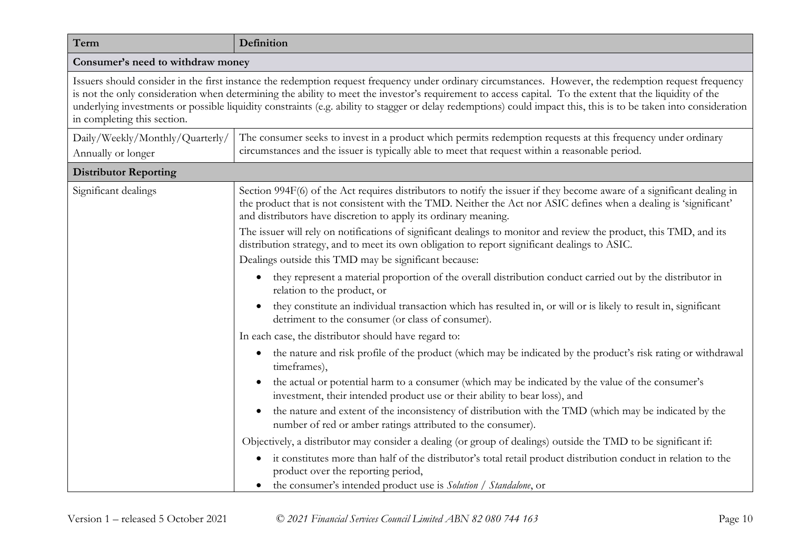| Term                                                                                                                                                                                                                                                                                                                                                                                                                                                                                                                   | Definition                                                                                                                                                                                                                                                                                                     |  |
|------------------------------------------------------------------------------------------------------------------------------------------------------------------------------------------------------------------------------------------------------------------------------------------------------------------------------------------------------------------------------------------------------------------------------------------------------------------------------------------------------------------------|----------------------------------------------------------------------------------------------------------------------------------------------------------------------------------------------------------------------------------------------------------------------------------------------------------------|--|
| Consumer's need to withdraw money                                                                                                                                                                                                                                                                                                                                                                                                                                                                                      |                                                                                                                                                                                                                                                                                                                |  |
| Issuers should consider in the first instance the redemption request frequency under ordinary circumstances. However, the redemption request frequency<br>is not the only consideration when determining the ability to meet the investor's requirement to access capital. To the extent that the liquidity of the<br>underlying investments or possible liquidity constraints (e.g. ability to stagger or delay redemptions) could impact this, this is to be taken into consideration<br>in completing this section. |                                                                                                                                                                                                                                                                                                                |  |
| Daily/Weekly/Monthly/Quarterly/<br>Annually or longer                                                                                                                                                                                                                                                                                                                                                                                                                                                                  | The consumer seeks to invest in a product which permits redemption requests at this frequency under ordinary<br>circumstances and the issuer is typically able to meet that request within a reasonable period.                                                                                                |  |
| <b>Distributor Reporting</b>                                                                                                                                                                                                                                                                                                                                                                                                                                                                                           |                                                                                                                                                                                                                                                                                                                |  |
| Significant dealings                                                                                                                                                                                                                                                                                                                                                                                                                                                                                                   | Section 994F(6) of the Act requires distributors to notify the issuer if they become aware of a significant dealing in<br>the product that is not consistent with the TMD. Neither the Act nor ASIC defines when a dealing is 'significant'<br>and distributors have discretion to apply its ordinary meaning. |  |
|                                                                                                                                                                                                                                                                                                                                                                                                                                                                                                                        | The issuer will rely on notifications of significant dealings to monitor and review the product, this TMD, and its<br>distribution strategy, and to meet its own obligation to report significant dealings to ASIC.                                                                                            |  |
|                                                                                                                                                                                                                                                                                                                                                                                                                                                                                                                        | Dealings outside this TMD may be significant because:                                                                                                                                                                                                                                                          |  |
|                                                                                                                                                                                                                                                                                                                                                                                                                                                                                                                        | they represent a material proportion of the overall distribution conduct carried out by the distributor in<br>relation to the product, or                                                                                                                                                                      |  |
|                                                                                                                                                                                                                                                                                                                                                                                                                                                                                                                        | they constitute an individual transaction which has resulted in, or will or is likely to result in, significant<br>detriment to the consumer (or class of consumer).                                                                                                                                           |  |
|                                                                                                                                                                                                                                                                                                                                                                                                                                                                                                                        | In each case, the distributor should have regard to:                                                                                                                                                                                                                                                           |  |
|                                                                                                                                                                                                                                                                                                                                                                                                                                                                                                                        | the nature and risk profile of the product (which may be indicated by the product's risk rating or withdrawal<br>$\bullet$<br>timeframes),                                                                                                                                                                     |  |
|                                                                                                                                                                                                                                                                                                                                                                                                                                                                                                                        | the actual or potential harm to a consumer (which may be indicated by the value of the consumer's<br>investment, their intended product use or their ability to bear loss), and                                                                                                                                |  |
|                                                                                                                                                                                                                                                                                                                                                                                                                                                                                                                        | the nature and extent of the inconsistency of distribution with the TMD (which may be indicated by the<br>$\bullet$<br>number of red or amber ratings attributed to the consumer).                                                                                                                             |  |
|                                                                                                                                                                                                                                                                                                                                                                                                                                                                                                                        | Objectively, a distributor may consider a dealing (or group of dealings) outside the TMD to be significant if:                                                                                                                                                                                                 |  |
|                                                                                                                                                                                                                                                                                                                                                                                                                                                                                                                        | it constitutes more than half of the distributor's total retail product distribution conduct in relation to the<br>$\bullet$<br>product over the reporting period,                                                                                                                                             |  |
|                                                                                                                                                                                                                                                                                                                                                                                                                                                                                                                        | the consumer's intended product use is Solution / Standalone, or                                                                                                                                                                                                                                               |  |